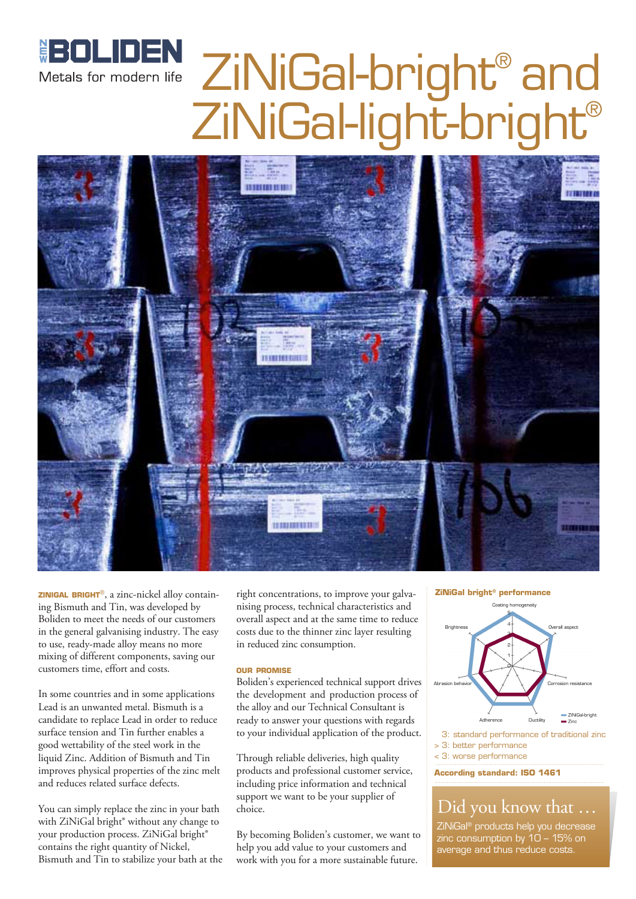

# ZiNiGal-bright® and ZiNiGal-light-bright®



**zinigal bright**®, a zinc-nickel alloy containing Bismuth and Tin, was developed by Boliden to meet the needs of our customers in the general galvanising industry. The easy to use, ready-made alloy means no more mixing of different components, saving our customers time, effort and costs.

In some countries and in some applications Lead is an unwanted metal. Bismuth is a candidate to replace Lead in order to reduce surface tension and Tin further enables a good wettability of the steel work in the liquid Zinc. Addition of Bismuth and Tin improves physical properties of the zinc melt and reduces related surface defects.

You can simply replace the zinc in your bath with ZiNiGal bright® without any change to your production process. ZiNiGal bright® contains the right quantity of Nickel, Bismuth and Tin to stabilize your bath at the

right concentrations, to improve your galvanising process, technical characteristics and overall aspect and at the same time to reduce costs due to the thinner zinc layer resulting in reduced zinc consumption.

#### **our promise**

Boliden's experienced technical support drives the development and production process of the alloy and our Technical Consultant is ready to answer your questions with regards to your individual application of the product.

Through reliable deliveries, high quality products and professional customer service, including price information and technical support we want to be your supplier of choice.

By becoming Boliden's customer, we want to help you add value to your customers and work with you for a more sustainable future.

#### **ZiNiGal bright® performance**



3: standard performance of traditional zinc > 3: better performance

< 3: worse performance

**According standard: ISO 1461**

### Did you know that …

ZiNiGal® products help you decrease zinc consumption by 10 – 15% on average and thus reduce costs.